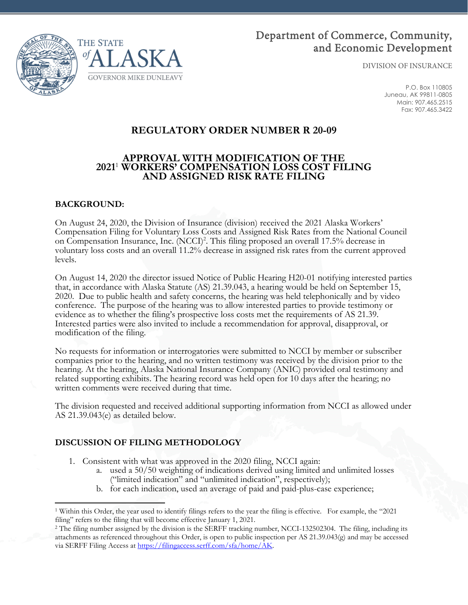

# Department of Commerce, Community, and Economic Development

DIVISION OF INSURANCE

P.O. Box 110805 Juneau, AK 99811-0805 Main: 907.465.2515 Fax: 907.465.3422

# **REGULATORY ORDER NUMBER R 20-09**

### **APPROVAL WITH MODIFICATION OF THE 2021**<sup>1</sup>  **WORKERS' COMPENSATION LOSS COST FILING AND ASSIGNED RISK RATE FILING**

### **BACKGROUND:**

On August 24, 2020, the Division of Insurance (division) received the 2021 Alaska Workers' Compensation Filing for Voluntary Loss Costs and Assigned Risk Rates from the National Council on Compensation Insurance, Inc. (NCCI)<sup>2</sup>. This filing proposed an overall 17.5% decrease in voluntary loss costs and an overall 11.2% decrease in assigned risk rates from the current approved levels.

On August 14, 2020 the director issued Notice of Public Hearing H20-01 notifying interested parties that, in accordance with Alaska Statute (AS) 21.39.043, a hearing would be held on September 15, 2020. Due to public health and safety concerns, the hearing was held telephonically and by video conference. The purpose of the hearing was to allow interested parties to provide testimony or evidence as to whether the filing's prospective loss costs met the requirements of AS 21.39. Interested parties were also invited to include a recommendation for approval, disapproval, or modification of the filing.

No requests for information or interrogatories were submitted to NCCI by member or subscriber companies prior to the hearing, and no written testimony was received by the division prior to the hearing. At the hearing, Alaska National Insurance Company (ANIC) provided oral testimony and related supporting exhibits. The hearing record was held open for 10 days after the hearing; no written comments were received during that time.

The division requested and received additional supporting information from NCCI as allowed under AS 21.39.043(e) as detailed below.

# **DISCUSSION OF FILING METHODOLOGY**

- 1. Consistent with what was approved in the 2020 filing, NCCI again:
	- a. used a 50/50 weighting of indications derived using limited and unlimited losses ("limited indication" and "unlimited indication", respectively);
	- b. for each indication, used an average of paid and paid-plus-case experience;

<sup>1</sup> Within this Order, the year used to identify filings refers to the year the filing is effective. For example, the "2021 filing" refers to the filing that will become effective January 1, 2021.<br><sup>2</sup> The filing number assigned by the division is the SERFF tracking number, NCCI-132502304. The filing, including its

attachments as referenced throughout this Order, is open to public inspection per AS 21.39.043(g) and may be accessed via SERFF Filing Access at https://filingaccess.serff.com/sfa/home/AK.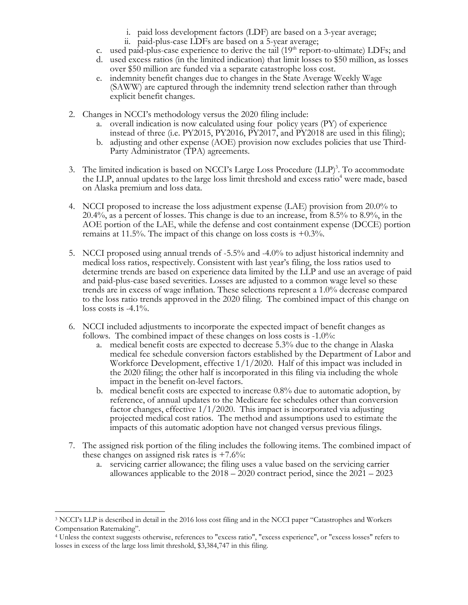- i. paid loss development factors (LDF) are based on a 3-year average;
- ii. paid-plus-case LDFs are based on a 5-year average;
- c. used paid-plus-case experience to derive the tail  $(19<sup>th</sup>$  report-to-ultimate) LDFs; and
- d. used excess ratios (in the limited indication) that limit losses to \$50 million, as losses over \$50 million are funded via a separate catastrophe loss cost.
- e. indemnity benefit changes due to changes in the State Average Weekly Wage (SAWW) are captured through the indemnity trend selection rather than through explicit benefit changes.
- 2. Changes in NCCI's methodology versus the 2020 filing include:
	- a. overall indication is now calculated using four policy years (PY) of experience instead of three (i.e. PY2015, PY2016, PY2017, and PY2018 are used in this filing);
	- b. adjusting and other expense (AOE) provision now excludes policies that use Third-Party Administrator (TPA) agreements.
- 3. The limited indication is based on NCCI's Large Loss Procedure  $(LLP)^3$ . To accommodate the LLP, annual updates to the large loss limit threshold and excess ratio<sup>4</sup> were made, based on Alaska premium and loss data.
- 4. NCCI proposed to increase the loss adjustment expense (LAE) provision from 20.0% to 20.4%, as a percent of losses. This change is due to an increase, from 8.5% to 8.9%, in the AOE portion of the LAE, while the defense and cost containment expense (DCCE) portion remains at 11.5%. The impact of this change on loss costs is  $+0.3\%$ .
- 5. NCCI proposed using annual trends of -5.5% and -4.0% to adjust historical indemnity and medical loss ratios, respectively. Consistent with last year's filing, the loss ratios used to determine trends are based on experience data limited by the LLP and use an average of paid and paid-plus-case based severities. Losses are adjusted to a common wage level so these trends are in excess of wage inflation. These selections represent a 1.0% decrease compared to the loss ratio trends approved in the 2020 filing. The combined impact of this change on loss costs is  $-4.1\%$ .
- 6. NCCI included adjustments to incorporate the expected impact of benefit changes as follows. The combined impact of these changes on loss costs is -1.0%:
	- a. medical benefit costs are expected to decrease 5.3% due to the change in Alaska medical fee schedule conversion factors established by the Department of Labor and Workforce Development, effective 1/1/2020. Half of this impact was included in the 2020 filing; the other half is incorporated in this filing via including the whole impact in the benefit on-level factors.
	- b. medical benefit costs are expected to increase 0.8% due to automatic adoption, by reference, of annual updates to the Medicare fee schedules other than conversion factor changes, effective  $1/1/2020$ . This impact is incorporated via adjusting projected medical cost ratios. The method and assumptions used to estimate the impacts of this automatic adoption have not changed versus previous filings.
- 7. The assigned risk portion of the filing includes the following items. The combined impact of these changes on assigned risk rates is  $+7.6\%$ :
	- a. servicing carrier allowance; the filing uses a value based on the servicing carrier allowances applicable to the 2018 – 2020 contract period, since the 2021 – 2023

<sup>&</sup>lt;sup>3</sup> NCCI's LLP is described in detail in the 2016 loss cost filing and in the NCCI paper "Catastrophes and Workers Compensation Ratemaking".

<sup>4</sup> Unless the context suggests otherwise, references to "excess ratio", "excess experience", or "excess losses" refers to losses in excess of the large loss limit threshold, \$3,384,747 in this filing.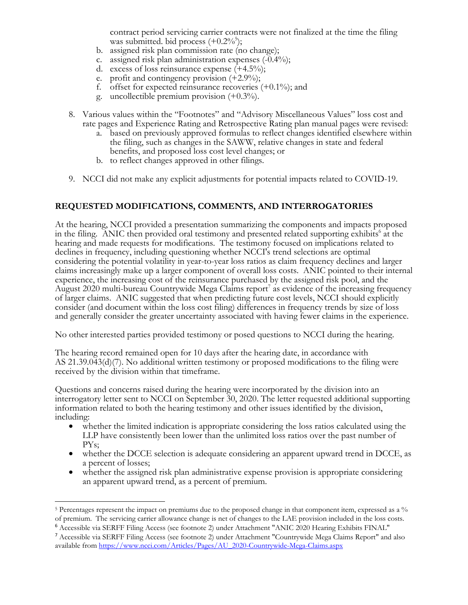contract period servicing carrier contracts were not finalized at the time the filing was submitted. bid process  $(+0.2\%)$ ;

- b. assigned risk plan commission rate (no change);
- c. assigned risk plan administration expenses (-0.4%);
- d. excess of loss reinsurance expense (+4.5%);
- e. profit and contingency provision  $(+2.9\%)$ ;
- f. offset for expected reinsurance recoveries  $(+0.1\%)$ ; and
- g. uncollectible premium provision (+0.3%).
- 8. Various values within the "Footnotes" and "Advisory Miscellaneous Values" loss cost and rate pages and Experience Rating and Retrospective Rating plan manual pages were revised:
	- a. based on previously approved formulas to reflect changes identified elsewhere within the filing, such as changes in the SAWW, relative changes in state and federal benefits, and proposed loss cost level changes; or
	- b. to reflect changes approved in other filings.
- 9. NCCI did not make any explicit adjustments for potential impacts related to COVID-19.

### **REQUESTED MODIFICATIONS, COMMENTS, AND INTERROGATORIES**

At the hearing, NCCI provided a presentation summarizing the components and impacts proposed in the filing. ANIC then provided oral testimony and presented related supporting exhibits<sup>6</sup> at the hearing and made requests for modifications. The testimony focused on implications related to declines in frequency, including questioning whether NCCI's trend selections are optimal considering the potential volatility in year-to-year loss ratios as claim frequency declines and larger claims increasingly make up a larger component of overall loss costs. ANIC pointed to their internal experience, the increasing cost of the reinsurance purchased by the assigned risk pool, and the August 2020 multi-bureau Countrywide Mega Claims report<sup>7</sup> as evidence of the increasing frequency of larger claims. ANIC suggested that when predicting future cost levels, NCCI should explicitly consider (and document within the loss cost filing) differences in frequency trends by size of loss and generally consider the greater uncertainty associated with having fewer claims in the experience.

No other interested parties provided testimony or posed questions to NCCI during the hearing.

The hearing record remained open for 10 days after the hearing date, in accordance with AS 21.39.043(d)(7). No additional written testimony or proposed modifications to the filing were received by the division within that timeframe.

Questions and concerns raised during the hearing were incorporated by the division into an interrogatory letter sent to NCCI on September 30, 2020. The letter requested additional supporting information related to both the hearing testimony and other issues identified by the division, including: whether the limited indication is appropriate considering the loss ratios calculated using the

- LLP have consistently been lower than the unlimited loss ratios over the past number of
- PYs;<br>• whether the DCCE selection is adequate considering an apparent upward trend in DCCE, as a percent of losses; whether the assigned risk plan administrative expense provision is appropriate considering
- an apparent upward trend, as a percent of premium.

<sup>5</sup> Percentages represent the impact on premiums due to the proposed change in that component item, expressed as a % of premium. The servicing carrier allowance change is net of changes to the LAE provision included in the loss costs. <sup>6</sup> Accessible via SERFF Filing Access (see footnote 2) under Attachment "ANIC 2020 Hearing Exhibits FINAL"

<sup>7</sup> Accessible via SERFF Filing Access (see footnote 2) under Attachment "Countrywide Mega Claims Report" and also available from https://www.ncci.com/Articles/Pages/AU\_2020-Countrywide-Mega-Claims.aspx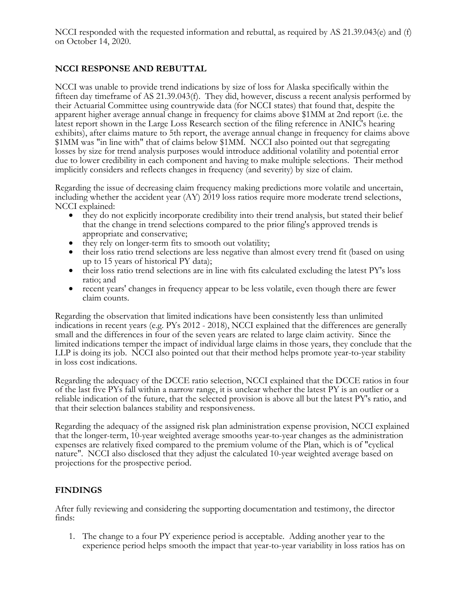NCCI responded with the requested information and rebuttal, as required by AS 21.39.043(e) and (f) on October 14, 2020.

# **NCCI RESPONSE AND REBUTTAL**

NCCI was unable to provide trend indications by size of loss for Alaska specifically within the fifteen day timeframe of AS 21.39.043(f). They did, however, discuss a recent analysis performed by their Actuarial Committee using countrywide data (for NCCI states) that found that, despite the apparent higher average annual change in frequency for claims above \$1MM at 2nd report (i.e. the latest report shown in the Large Loss Research section of the filing reference in ANIC's hearing exhibits), after claims mature to 5th report, the average annual change in frequency for claims above \$1MM was "in line with" that of claims below \$1MM. NCCI also pointed out that segregating losses by size for trend analysis purposes would introduce additional volatility and potential error due to lower credibility in each component and having to make multiple selections. Their method implicitly considers and reflects changes in frequency (and severity) by size of claim.

Regarding the issue of decreasing claim frequency making predictions more volatile and uncertain, including whether the accident year (AY) 2019 loss ratios require more moderate trend selections, NCCI explained:<br>
• they do not explicitly incorporate credibility into their trend analysis, but stated their belief

- that the change in trend selections compared to the prior filing's approved trends is
- 
- appropriate and conservative; they rely on longer-term fits to smooth out volatility; their loss ratio trend selections are less negative than almost every trend fit (based on using up to 15 years of historical PY data);<br>
• their loss ratio trend selections are in line with fits calculated excluding the latest PY's loss
- 
- ratio; and recent years' changes in frequency appear to be less volatile, even though there are fewer claim counts.

Regarding the observation that limited indications have been consistently less than unlimited indications in recent years (e.g. PYs 2012 - 2018), NCCI explained that the differences are generally small and the differences in four of the seven years are related to large claim activity. Since the limited indications temper the impact of individual large claims in those years, they conclude that the LLP is doing its job. NCCI also pointed out that their method helps promote year-to-year stability in loss cost indications.

Regarding the adequacy of the DCCE ratio selection, NCCI explained that the DCCE ratios in four of the last five PYs fall within a narrow range, it is unclear whether the latest PY is an outlier or a reliable indication of the future, that the selected provision is above all but the latest PY's ratio, and that their selection balances stability and responsiveness.

Regarding the adequacy of the assigned risk plan administration expense provision, NCCI explained that the longer-term, 10-year weighted average smooths year-to-year changes as the administration expenses are relatively fixed compared to the premium volume of the Plan, which is of "cyclical nature". NCCI also disclosed that they adjust the calculated 10-year weighted average based on projections for the prospective period.

### **FINDINGS**

After fully reviewing and considering the supporting documentation and testimony, the director finds:

1. The change to a four PY experience period is acceptable. Adding another year to the experience period helps smooth the impact that year-to-year variability in loss ratios has on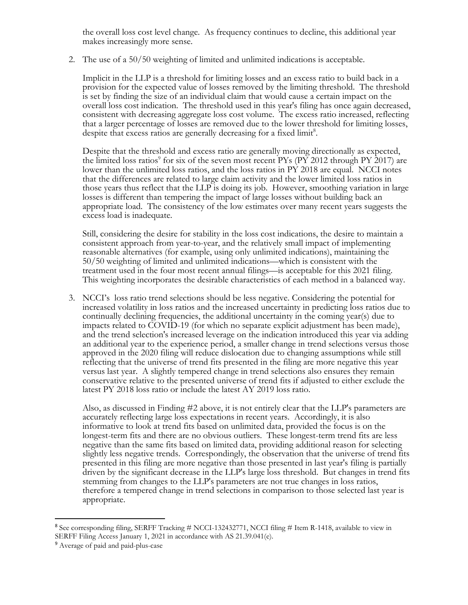the overall loss cost level change. As frequency continues to decline, this additional year makes increasingly more sense.

2. The use of a 50/50 weighting of limited and unlimited indications is acceptable.

Implicit in the LLP is a threshold for limiting losses and an excess ratio to build back in a provision for the expected value of losses removed by the limiting threshold. The threshold is set by finding the size of an individual claim that would cause a certain impact on the overall loss cost indication. The threshold used in this year's filing has once again decreased, consistent with decreasing aggregate loss cost volume. The excess ratio increased, reflecting that a larger percentage of losses are removed due to the lower threshold for limiting losses, despite that excess ratios are generally decreasing for a fixed limit<sup>8</sup>.

Despite that the threshold and excess ratio are generally moving directionally as expected, the limited loss ratios<sup>9</sup> for six of the seven most recent PYs (PY 2012 through PY 2017) are lower than the unlimited loss ratios, and the loss ratios in PY 2018 are equal. NCCI notes that the differences are related to large claim activity and the lower limited loss ratios in those years thus reflect that the LLP is doing its job. However, smoothing variation in large losses is different than tempering the impact of large losses without building back an appropriate load. The consistency of the low estimates over many recent years suggests the excess load is inadequate.

Still, considering the desire for stability in the loss cost indications, the desire to maintain a consistent approach from year-to-year, and the relatively small impact of implementing reasonable alternatives (for example, using only unlimited indications), maintaining the 50/50 weighting of limited and unlimited indications—which is consistent with the treatment used in the four most recent annual filings—is acceptable for this 2021 filing. This weighting incorporates the desirable characteristics of each method in a balanced way.

3. NCCI's loss ratio trend selections should be less negative. Considering the potential for increased volatility in loss ratios and the increased uncertainty in predicting loss ratios due to continually declining frequencies, the additional uncertainty in the coming year(s) due to impacts related to COVID-19 (for which no separate explicit adjustment has been made), and the trend selection's increased leverage on the indication introduced this year via adding an additional year to the experience period, a smaller change in trend selections versus those approved in the 2020 filing will reduce dislocation due to changing assumptions while still reflecting that the universe of trend fits presented in the filing are more negative this year versus last year. A slightly tempered change in trend selections also ensures they remain conservative relative to the presented universe of trend fits if adjusted to either exclude the latest PY 2018 loss ratio or include the latest AY 2019 loss ratio.

Also, as discussed in Finding #2 above, it is not entirely clear that the LLP's parameters are accurately reflecting large loss expectations in recent years. Accordingly, it is also informative to look at trend fits based on unlimited data, provided the focus is on the longest-term fits and there are no obvious outliers. These longest-term trend fits are less negative than the same fits based on limited data, providing additional reason for selecting slightly less negative trends. Correspondingly, the observation that the universe of trend fits presented in this filing are more negative than those presented in last year's filing is partially driven by the significant decrease in the LLP's large loss threshold. But changes in trend fits stemming from changes to the LLP's parameters are not true changes in loss ratios, therefore a tempered change in trend selections in comparison to those selected last year is appropriate.

<sup>8</sup> See corresponding filing, SERFF Tracking # NCCI-132432771, NCCI filing # Item R-1418, available to view in SERFF Filing Access January 1, 2021 in accordance with AS 21.39.041(e).

<sup>9</sup> Average of paid and paid-plus-case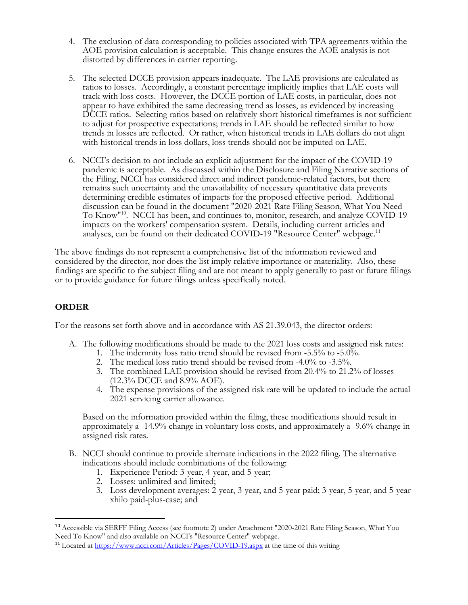- 4. The exclusion of data corresponding to policies associated with TPA agreements within the AOE provision calculation is acceptable. This change ensures the AOE analysis is not distorted by differences in carrier reporting.
- 5. The selected DCCE provision appears inadequate. The LAE provisions are calculated as ratios to losses. Accordingly, a constant percentage implicitly implies that LAE costs will track with loss costs. However, the DCCE portion of LAE costs, in particular, does not appear to have exhibited the same decreasing trend as losses, as evidenced by increasing DCCE ratios. Selecting ratios based on relatively short historical timeframes is not sufficient to adjust for prospective expectations; trends in LAE should be reflected similar to how trends in losses are reflected. Or rather, when historical trends in LAE dollars do not align with historical trends in loss dollars, loss trends should not be imputed on LAE.
- 6. NCCI's decision to not include an explicit adjustment for the impact of the COVID-19 pandemic is acceptable. As discussed within the Disclosure and Filing Narrative sections of the Filing, NCCI has considered direct and indirect pandemic-related factors, but there remains such uncertainty and the unavailability of necessary quantitative data prevents determining credible estimates of impacts for the proposed effective period. Additional discussion can be found in the document "2020-2021 Rate Filing Season, What You Need To Know"10. NCCI has been, and continues to, monitor, research, and analyze COVID-19 impacts on the workers' compensation system. Details, including current articles and analyses, can be found on their dedicated COVID-19 "Resource Center" webpage.<sup>11</sup>

The above findings do not represent a comprehensive list of the information reviewed and considered by the director, nor does the list imply relative importance or materiality. Also, these findings are specific to the subject filing and are not meant to apply generally to past or future filings or to provide guidance for future filings unless specifically noted.

# **ORDER**

For the reasons set forth above and in accordance with AS 21.39.043, the director orders:

- A. The following modifications should be made to the 2021 loss costs and assigned risk rates:
	- 1. The indemnity loss ratio trend should be revised from -5.5% to -5.0%.
	- 2. The medical loss ratio trend should be revised from -4.0% to -3.5%.
	- 3. The combined LAE provision should be revised from 20.4% to 21.2% of losses (12.3% DCCE and 8.9% AOE).
	- 4. The expense provisions of the assigned risk rate will be updated to include the actual 2021 servicing carrier allowance.

Based on the information provided within the filing, these modifications should result in approximately a -14.9% change in voluntary loss costs, and approximately a -9.6% change in assigned risk rates.

- B. NCCI should continue to provide alternate indications in the 2022 filing. The alternative indications should include combinations of the following:
	- 1. Experience Period: 3-year, 4-year, and 5-year;
	- 2. Losses: unlimited and limited;

3. Loss development averages: 2-year, 3-year, and 5-year paid; 3-year, 5-year, and 5-year xhilo paid-plus-case; and

<sup>10</sup> Accessible via SERFF Filing Access (see footnote 2) under Attachment "2020-2021 Rate Filing Season, What You Need To Know" and also available on NCCI's "Resource Center" webpage.

<sup>11</sup> Located at https://www.ncci.com/Articles/Pages/COVID-19.aspx at the time of this writing